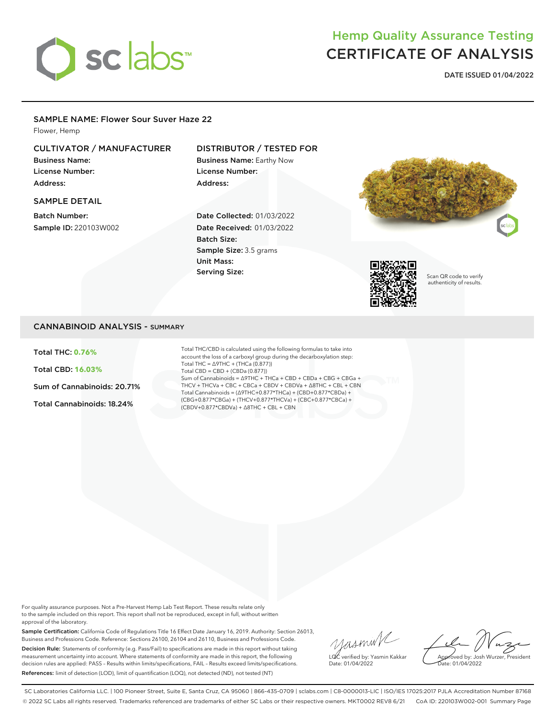

# Hemp Quality Assurance Testing CERTIFICATE OF ANALYSIS

**DATE ISSUED 01/04/2022**

### SAMPLE NAME: Flower Sour Suver Haze 22

Flower, Hemp

## CULTIVATOR / MANUFACTURER

Business Name: License Number: Address:

### DISTRIBUTOR / TESTED FOR Business Name: Earthy Now

License Number: Address:

### SAMPLE DETAIL

Batch Number: Sample ID: 220103W002 Date Collected: 01/03/2022 Date Received: 01/03/2022 Batch Size: Sample Size: 3.5 grams Unit Mass: Serving Size:





Scan QR code to verify authenticity of results.

### CANNABINOID ANALYSIS - SUMMARY

Total THC: **0.76%**

Total CBD: **16.03%**

Sum of Cannabinoids: 20.71%

Total Cannabinoids: 18.24%

Total THC/CBD is calculated using the following formulas to take into account the loss of a carboxyl group during the decarboxylation step: Total THC = ∆9THC + (THCa (0.877)) Total CBD = CBD + (CBDa (0.877)) Sum of Cannabinoids = ∆9THC + THCa + CBD + CBDa + CBG + CBGa + THCV + THCVa + CBC + CBCa + CBDV + CBDVa + ∆8THC + CBL + CBN Total Cannabinoids = (∆9THC+0.877\*THCa) + (CBD+0.877\*CBDa) + (CBG+0.877\*CBGa) + (THCV+0.877\*THCVa) + (CBC+0.877\*CBCa) + (CBDV+0.877\*CBDVa) + ∆8THC + CBL + CBN

For quality assurance purposes. Not a Pre-Harvest Hemp Lab Test Report. These results relate only to the sample included on this report. This report shall not be reproduced, except in full, without written approval of the laboratory.

Sample Certification: California Code of Regulations Title 16 Effect Date January 16, 2019. Authority: Section 26013, Business and Professions Code. Reference: Sections 26100, 26104 and 26110, Business and Professions Code. Decision Rule: Statements of conformity (e.g. Pass/Fail) to specifications are made in this report without taking measurement uncertainty into account. Where statements of conformity are made in this report, the following decision rules are applied: PASS – Results within limits/specifications, FAIL – Results exceed limits/specifications. References: limit of detection (LOD), limit of quantification (LOQ), not detected (ND), not tested (NT)

yusmink LQC verified by: Yasmin Kakkar Date: 01/04/2022

Approved by: Josh Wurzer, President Date: 01/04/2022

SC Laboratories California LLC. | 100 Pioneer Street, Suite E, Santa Cruz, CA 95060 | 866-435-0709 | sclabs.com | C8-0000013-LIC | ISO/IES 17025:2017 PJLA Accreditation Number 87168 © 2022 SC Labs all rights reserved. Trademarks referenced are trademarks of either SC Labs or their respective owners. MKT0002 REV8 6/21 CoA ID: 220103W002-001 Summary Page